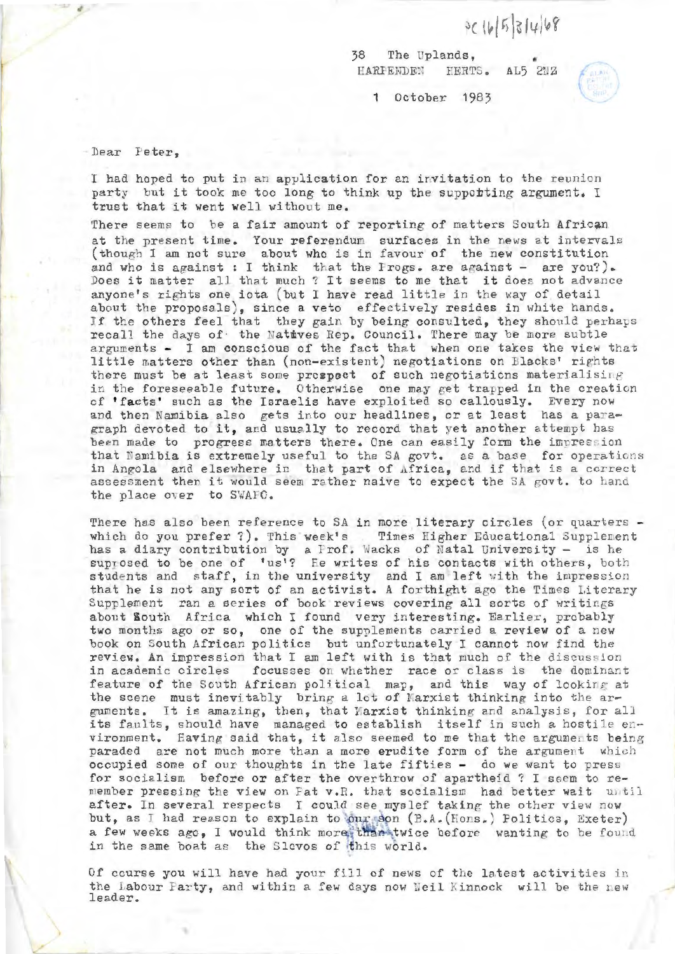$3c16531468$ 

38 The Uplands, HARPENDEN  $AD5$   $2NZ$ 



1 October 1983

Dear Peter,

I had hoped to put in an application for an invitation to the reunion party but it took me too long to think up the supporting argument. I trust that it went well without me .

There seems to be a fair amount of reporting of matters South African at the present time. Your referendum surfaces in the news at intervals (though I am not sure about who is in favour of the new constitution and who is against : I think that the Irogs. are against - are you?). Does it matter all that much ? It seems to me that it does not advance anyone's rights one iota (but I have read little in the way of detail about the proposals), since a veto effectively resides in white hands. If the others feel that they gain by being consulted, they should perhaps recall the days of the Natives Rep. Council. There may be more subtle arguments  $-$  I am conscious of the fact that when one takes the view that little matters other than (non-existent) negotiations on Blacks' rights there must be at least some prospect of such negotiations materialising in the foreseeable future. Otherwise one may get trapped in the creation of 'facts' such as the Israelis have exploited so callously. Every now and then Namibia also gets into our headlines, or at least has a paragraph devoted to it, and usually to record that yet another attempt has been made to progress matters there. One can easily form the impression that Namibia is extremely useful to the SA govt. as a base for operations in Angola and elsewhere in that part of Africa, and if that is a correct assessment then it would seem rather naive to expect the SA govt. to hand the place over to SWAFC.

There has also been reference to SA in more literary circles (or quarters which do you prefer ?). This week's Times Higher Educational Supplement has a diary contribution by a Prof. Wacks of Natal University - is he suprosed to be one of 'us'? He writes of his contacts with others, both students and staff, in the university and I am left with the impression that he is not any sort of an activist. A forthight ago the Times Literary Supplement ran a series of book reviews covering all sorts of writings about South Africa which I found very interesting. Earlier, probably two months ago or so, one of the supplements carried a review of a new book on South African politics but unfortunately I cannot now find the review. An impression that I am left with is that much of the discussion<br>in academic circles - focusses on whether - race or class is - the dominant focusses on whether race or class is the dominant feature of the South African political map, and this way of looking at the scene must inevitably bring a lot of Marxist thinking into the arguments. It is amazing, then, that Marxist thinking and analysis, for all its faults, should have managed to establish itself in such a hostile environment. Having said that, it also seemed to me that the arguments being paraded are not much more than a more erudite form of the argument which occupied some of our thoughts in the late fifties - do we want to press<br>for socialism before or after the overthrow of apartheid ? I seem to remember pressing the view on Pat v.R. that socialism had better wait until after. In several respects I could see myslef taking the other view now but, as I had reason to explain to our son (B.A. (Hons.) Politics, Exeter) a few weeks ago, I would think more, than twice before wanting to be found in the same boat as the Slovos of this world.

Of course you will have had your fill of news of the latest activities in the Labour Party, and within a few days now Neil Kinnock will be the new leader.